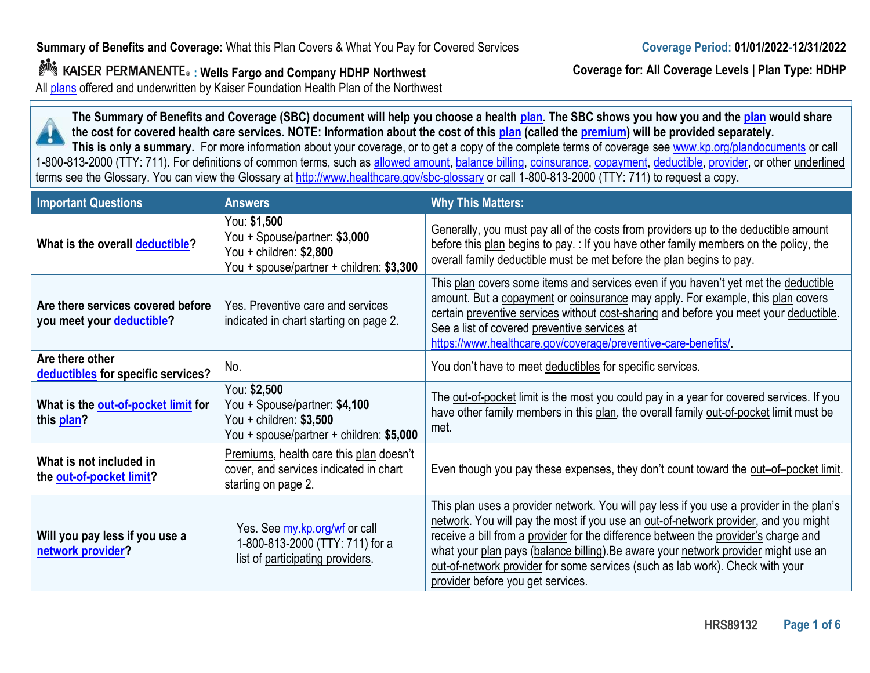**: Wells Fargo and Company HDHP Northwest**

All plans offered and underwritten by Kaiser Foundation Health Plan of the Northwest

**Coverage for: All Coverage Levels | Plan Type: HDHP**

**The Summary of Benefits and Coverage (SBC) document will help you choose a health plan. The SBC shows you how you and the plan would share the cost for covered health care services. NOTE: Information about the cost of this plan (called the premium) will be provided separately.** 

**This is only a summary.** For more information about your coverage, or to get a copy of the complete terms of coverage see www.kp.org/plandocuments or call 1-800-813-2000 (TTY: 711). For definitions of common terms, such as allowed amount, balance billing, coinsurance, copayment, deductible, provider, or other underlined terms see the Glossary. You can view the Glossary at http://www.healthcare.gov/sbc-glossary or call 1-800-813-2000 (TTY: 711) to request a copy.

| <b>Important Questions</b>                                     | <b>Answers</b>                                                                                                        | <b>Why This Matters:</b>                                                                                                                                                                                                                                                                                                                                                                                                                                                           |  |
|----------------------------------------------------------------|-----------------------------------------------------------------------------------------------------------------------|------------------------------------------------------------------------------------------------------------------------------------------------------------------------------------------------------------------------------------------------------------------------------------------------------------------------------------------------------------------------------------------------------------------------------------------------------------------------------------|--|
| What is the overall deductible?                                | You: \$1,500<br>You + Spouse/partner: \$3,000<br>You + children: \$2,800<br>You + spouse/partner + children: \$3,300  | Generally, you must pay all of the costs from providers up to the deductible amount<br>before this plan begins to pay. : If you have other family members on the policy, the<br>overall family deductible must be met before the plan begins to pay.                                                                                                                                                                                                                               |  |
| Are there services covered before<br>you meet your deductible? | Yes. Preventive care and services<br>indicated in chart starting on page 2.                                           | This plan covers some items and services even if you haven't yet met the deductible<br>amount. But a copayment or coinsurance may apply. For example, this plan covers<br>certain preventive services without cost-sharing and before you meet your deductible.<br>See a list of covered preventive services at<br>https://www.healthcare.gov/coverage/preventive-care-benefits/                                                                                                   |  |
| Are there other<br>deductibles for specific services?          | No.                                                                                                                   | You don't have to meet deductibles for specific services.                                                                                                                                                                                                                                                                                                                                                                                                                          |  |
| What is the out-of-pocket limit for<br>this plan?              | You: \$2,500<br>You + Spouse/partner: \$4,100<br>You + children: $$3,500$<br>You + spouse/partner + children: \$5,000 | The out-of-pocket limit is the most you could pay in a year for covered services. If you<br>have other family members in this plan, the overall family out-of-pocket limit must be<br>met.                                                                                                                                                                                                                                                                                         |  |
| What is not included in<br>the out-of-pocket limit?            | Premiums, health care this plan doesn't<br>cover, and services indicated in chart<br>starting on page 2.              | Even though you pay these expenses, they don't count toward the out-of-pocket limit.                                                                                                                                                                                                                                                                                                                                                                                               |  |
| Will you pay less if you use a<br>network provider?            | Yes. See my.kp.org/wf or call<br>1-800-813-2000 (TTY: 711) for a<br>list of participating providers.                  | This plan uses a provider network. You will pay less if you use a provider in the plan's<br>network. You will pay the most if you use an out-of-network provider, and you might<br>receive a bill from a provider for the difference between the provider's charge and<br>what your plan pays (balance billing). Be aware your network provider might use an<br>out-of-network provider for some services (such as lab work). Check with your<br>provider before you get services. |  |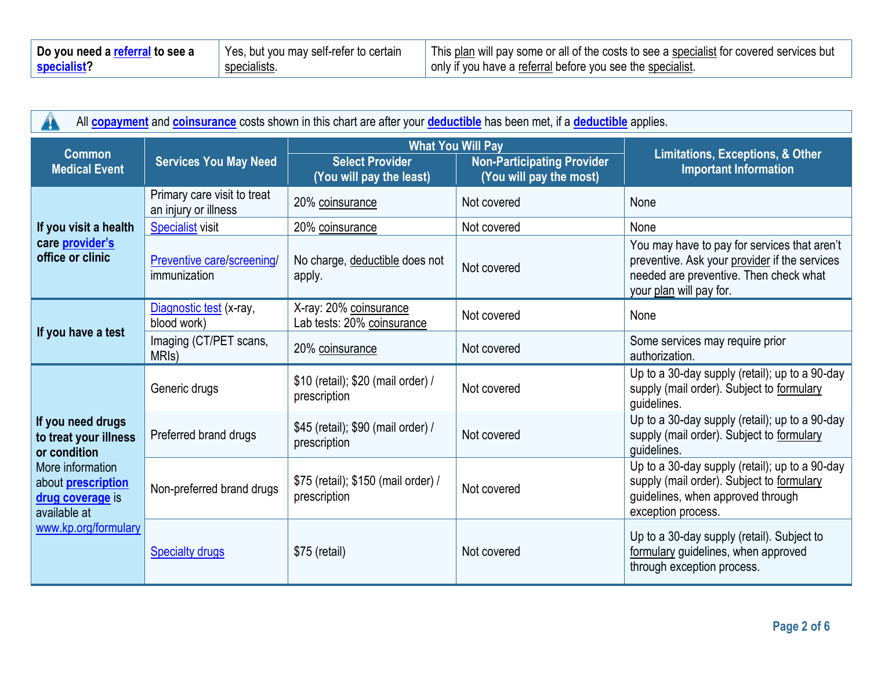| Do you need a referral to see a | Yes, but you may self-refer to certain | <sup>1</sup> This plan will pay some or all of the costs to see a specialist for covered services but |
|---------------------------------|----------------------------------------|-------------------------------------------------------------------------------------------------------|
| specialist?                     | specialists.                           | only if you have a referral before you see the specialist.                                            |

| All <b>copayment</b> and <b>coinsurance</b> costs shown in this chart are after your <b>deductible</b> has been met, if a <b>deductible</b> applies.                    |                                                     |                                                                                                                                                |             |                                                                                                                                                                    |  |
|-------------------------------------------------------------------------------------------------------------------------------------------------------------------------|-----------------------------------------------------|------------------------------------------------------------------------------------------------------------------------------------------------|-------------|--------------------------------------------------------------------------------------------------------------------------------------------------------------------|--|
| <b>Common</b><br><b>Medical Event</b>                                                                                                                                   | <b>Services You May Need</b>                        | <b>What You Will Pay</b><br><b>Non-Participating Provider</b><br><b>Select Provider</b><br>(You will pay the most)<br>(You will pay the least) |             | Limitations, Exceptions, & Other<br><b>Important Information</b>                                                                                                   |  |
|                                                                                                                                                                         | Primary care visit to treat<br>an injury or illness | 20% coinsurance                                                                                                                                | Not covered | None                                                                                                                                                               |  |
| If you visit a health                                                                                                                                                   | <b>Specialist</b> visit                             | 20% coinsurance                                                                                                                                | Not covered | None                                                                                                                                                               |  |
| care <i>provider's</i><br>office or clinic                                                                                                                              | Preventive care/screening/<br>immunization          | No charge, deductible does not<br>apply.                                                                                                       | Not covered | You may have to pay for services that aren't<br>preventive. Ask your provider if the services<br>needed are preventive. Then check what<br>your plan will pay for. |  |
| If you have a test                                                                                                                                                      | Diagnostic test (x-ray,<br>blood work)              | X-ray: 20% coinsurance<br>Lab tests: 20% coinsurance                                                                                           | Not covered | None                                                                                                                                                               |  |
|                                                                                                                                                                         | Imaging (CT/PET scans,<br>MRI <sub>s</sub> )        | 20% coinsurance                                                                                                                                | Not covered | Some services may require prior<br>authorization.                                                                                                                  |  |
| If you need drugs<br>to treat your illness<br>or condition<br>More information<br>about <b>prescription</b><br>drug coverage is<br>available at<br>www.kp.org/formulary | Generic drugs                                       | \$10 (retail); \$20 (mail order) /<br>prescription                                                                                             | Not covered | Up to a 30-day supply (retail); up to a 90-day<br>supply (mail order). Subject to formulary<br>guidelines.                                                         |  |
|                                                                                                                                                                         | Preferred brand drugs                               | \$45 (retail); \$90 (mail order) /<br>prescription                                                                                             | Not covered | Up to a 30-day supply (retail); up to a 90-day<br>supply (mail order). Subject to formulary<br>guidelines.                                                         |  |
|                                                                                                                                                                         | Non-preferred brand drugs                           | \$75 (retail); \$150 (mail order) /<br>prescription                                                                                            | Not covered | Up to a 30-day supply (retail); up to a 90-day<br>supply (mail order). Subject to formulary<br>guidelines, when approved through<br>exception process.             |  |
|                                                                                                                                                                         | <b>Specialty drugs</b>                              | \$75 (retail)                                                                                                                                  | Not covered | Up to a 30-day supply (retail). Subject to<br>formulary guidelines, when approved<br>through exception process.                                                    |  |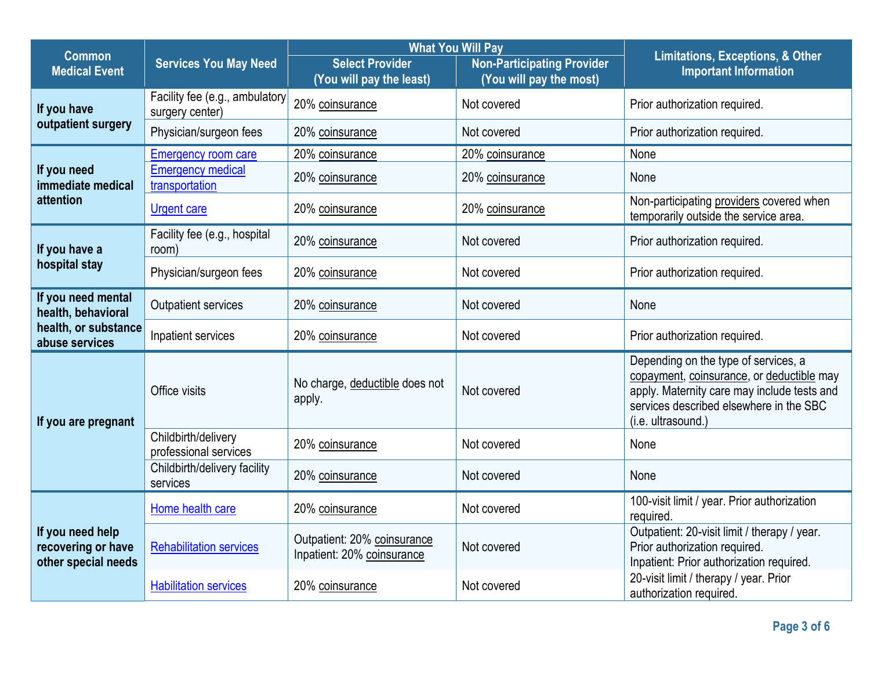| <b>Common</b>                                                                      |                                                   | <b>What You Will Pay</b>                                  |                                                              |                                                                                                                                                                                                   |
|------------------------------------------------------------------------------------|---------------------------------------------------|-----------------------------------------------------------|--------------------------------------------------------------|---------------------------------------------------------------------------------------------------------------------------------------------------------------------------------------------------|
| <b>Medical Event</b>                                                               | <b>Services You May Need</b>                      | <b>Select Provider</b><br>(You will pay the least)        | <b>Non-Participating Provider</b><br>(You will pay the most) | <b>Limitations, Exceptions, &amp; Other</b><br><b>Important Information</b>                                                                                                                       |
| If you have<br>outpatient surgery                                                  | Facility fee (e.g., ambulatory<br>surgery center) | 20% coinsurance                                           | Not covered                                                  | Prior authorization required.                                                                                                                                                                     |
|                                                                                    | Physician/surgeon fees                            | 20% coinsurance                                           | Not covered                                                  | Prior authorization required.                                                                                                                                                                     |
|                                                                                    | <b>Emergency room care</b>                        | 20% coinsurance                                           | 20% coinsurance                                              | None                                                                                                                                                                                              |
| If you need<br>immediate medical<br>attention                                      | <b>Emergency medical</b><br>transportation        | 20% coinsurance                                           | 20% coinsurance                                              | None                                                                                                                                                                                              |
|                                                                                    | <b>Urgent care</b>                                | 20% coinsurance                                           | 20% coinsurance                                              | Non-participating providers covered when<br>temporarily outside the service area.                                                                                                                 |
| If you have a<br>hospital stay                                                     | Facility fee (e.g., hospital<br>room)             | 20% coinsurance                                           | Not covered                                                  | Prior authorization required.                                                                                                                                                                     |
|                                                                                    | Physician/surgeon fees                            | 20% coinsurance                                           | Not covered                                                  | Prior authorization required.                                                                                                                                                                     |
| If you need mental<br>health, behavioral<br>health, or substance<br>abuse services | <b>Outpatient services</b>                        | 20% coinsurance                                           | Not covered                                                  | None                                                                                                                                                                                              |
|                                                                                    | Inpatient services                                | 20% coinsurance                                           | Not covered                                                  | Prior authorization required.                                                                                                                                                                     |
| If you are pregnant                                                                | Office visits                                     | No charge, deductible does not<br>apply.                  | Not covered                                                  | Depending on the type of services, a<br>copayment, coinsurance, or deductible may<br>apply. Maternity care may include tests and<br>services described elsewhere in the SBC<br>(i.e. ultrasound.) |
|                                                                                    | Childbirth/delivery<br>professional services      | 20% coinsurance                                           | Not covered                                                  | None                                                                                                                                                                                              |
|                                                                                    | Childbirth/delivery facility<br>services          | 20% coinsurance                                           | Not covered                                                  | None                                                                                                                                                                                              |
| If you need help<br>recovering or have<br>other special needs                      | Home health care                                  | 20% coinsurance                                           | Not covered                                                  | 100-visit limit / year. Prior authorization<br>required.                                                                                                                                          |
|                                                                                    | <b>Rehabilitation services</b>                    | Outpatient: 20% coinsurance<br>Inpatient: 20% coinsurance | Not covered                                                  | Outpatient: 20-visit limit / therapy / year.<br>Prior authorization required.<br>Inpatient: Prior authorization required.                                                                         |
|                                                                                    | <b>Habilitation services</b>                      | 20% coinsurance                                           | Not covered                                                  | 20-visit limit / therapy / year. Prior<br>authorization required                                                                                                                                  |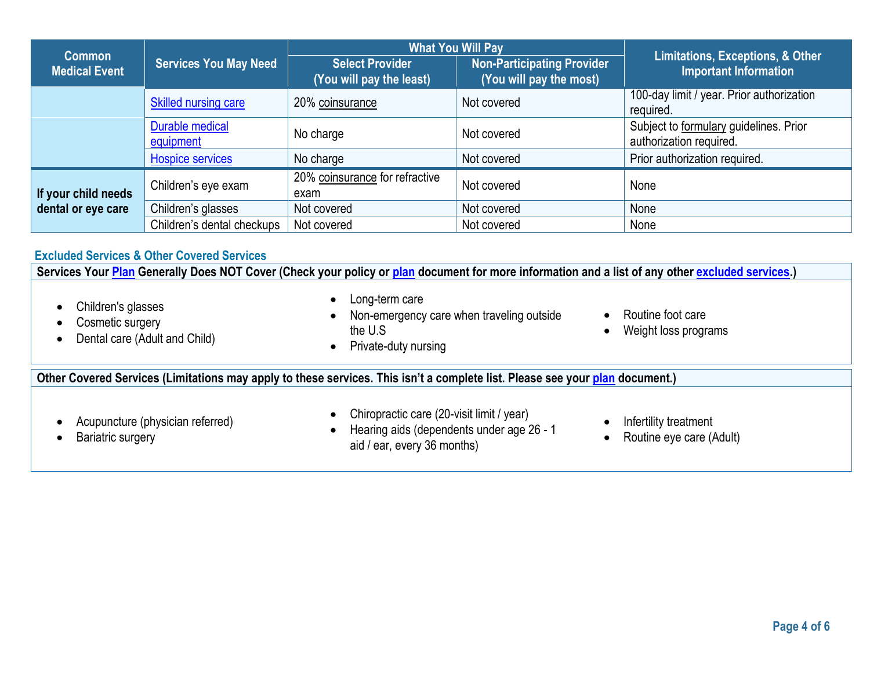| <b>Common</b>                             |                              | <b>What You Will Pay</b>                           |                                                       |                                                                             |
|-------------------------------------------|------------------------------|----------------------------------------------------|-------------------------------------------------------|-----------------------------------------------------------------------------|
| <b>Medical Event</b>                      | <b>Services You May Need</b> | <b>Select Provider</b><br>(You will pay the least) | Non-Participating Provider<br>(You will pay the most) | <b>Limitations, Exceptions, &amp; Other</b><br><b>Important Information</b> |
|                                           | <b>Skilled nursing care</b>  | 20% coinsurance                                    | Not covered                                           | 100-day limit / year. Prior authorization<br>required.                      |
|                                           | Durable medical<br>equipment | No charge                                          | Not covered                                           | Subject to formulary guidelines. Prior<br>authorization required.           |
|                                           | <b>Hospice services</b>      | No charge                                          | Not covered                                           | Prior authorization required.                                               |
| If your child needs<br>dental or eye care | Children's eye exam          | 20% coinsurance for refractive<br>exam             | Not covered                                           | None                                                                        |
|                                           | Children's glasses           | Not covered                                        | Not covered                                           | None                                                                        |
|                                           | Children's dental checkups   | Not covered                                        | Not covered                                           | None                                                                        |
|                                           |                              |                                                    |                                                       |                                                                             |

#### **Excluded Services & Other Covered Services**

**Services Your Plan Generally Does NOT Cover (Check your policy or plan document for more information and a list of any other excluded services.)**

- Children's glasses
- Cosmetic surgery
- Dental care (Adult and Child)

• Long-term care

• Private-duty nursing

- Non-emergency care when traveling outside the U.S
- Routine foot care
- Weight loss programs

#### **Other Covered Services (Limitations may apply to these services. This isn't a complete list. Please see your plan document.)**

• Acupuncture (physician referred)

• Chiropractic care (20-visit limit / year)

• Bariatric surgery

- Hearing aids (dependents under age 26 1 aid / ear, every 36 months)
- Infertility treatment
- Routine eye care (Adult)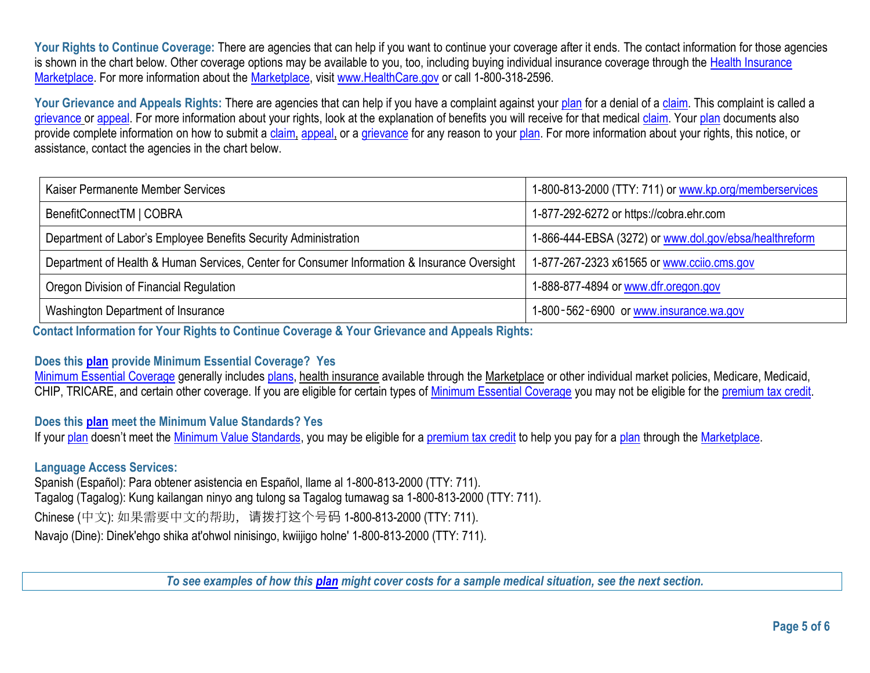Your Rights to Continue Coverage: There are agencies that can help if you want to continue your coverage after it ends. The contact information for those agencies is shown in the chart below. Other coverage options may be available to you, too, including buying individual insurance coverage through the Health Insurance Marketplace. For more information about the Marketplace, visit www.HealthCare.gov or call 1-800-318-2596.

Your Grievance and Appeals Rights: There are agencies that can help if you have a complaint against your plan for a denial of a claim. This complaint is called a grievance or appeal. For more information about your rights, look at the explanation of benefits you will receive for that medical claim. Your plan documents also provide complete information on how to submit a claim, appeal, or a grievance for any reason to your plan. For more information about your rights, this notice, or assistance, contact the agencies in the chart below.

| Kaiser Permanente Member Services                                                            | 1-800-813-2000 (TTY: 711) or www.kp.org/memberservices |
|----------------------------------------------------------------------------------------------|--------------------------------------------------------|
| BenefitConnectTM   COBRA                                                                     | 1-877-292-6272 or https://cobra.ehr.com                |
| Department of Labor's Employee Benefits Security Administration                              | 1-866-444-EBSA (3272) or www.dol.gov/ebsa/healthreform |
| Department of Health & Human Services, Center for Consumer Information & Insurance Oversight | 1-877-267-2323 x61565 or www.ccijo.cms.gov             |
| Oregon Division of Financial Regulation                                                      | 1-888-877-4894 or www.dfr.oregon.gov                   |
| Washington Department of Insurance                                                           | 1-800-562-6900 or www.insurance.wa.gov                 |

**Contact Information for Your Rights to Continue Coverage & Your Grievance and Appeals Rights:**

#### **Does this plan provide Minimum Essential Coverage? Yes**

Minimum Essential Coverage generally includes plans, health insurance available through the Marketplace or other individual market policies, Medicare, Medicaid, CHIP, TRICARE, and certain other coverage. If you are eligible for certain types of Minimum Essential Coverage you may not be eligible for the premium tax credit.

## **Does this plan meet the Minimum Value Standards? Yes**

If your plan doesn't meet the Minimum Value Standards, you may be eligible for a premium tax credit to help you pay for a plan through the Marketplace.

## **Language Access Services:**

Spanish (Español): Para obtener asistencia en Español, llame al 1-800-813-2000 (TTY: 711). Tagalog (Tagalog): Kung kailangan ninyo ang tulong sa Tagalog tumawag sa 1-800-813-2000 (TTY: 711). Chinese (中文): 如果需要中文的帮助,请拨打这个号码 1-800-813-2000 (TTY: 711). Navajo (Dine): Dinek'ehgo shika at'ohwol ninisingo, kwiijigo holne' 1-800-813-2000 (TTY: 711).

*To see examples of how this plan might cover costs for a sample medical situation, see the next section.*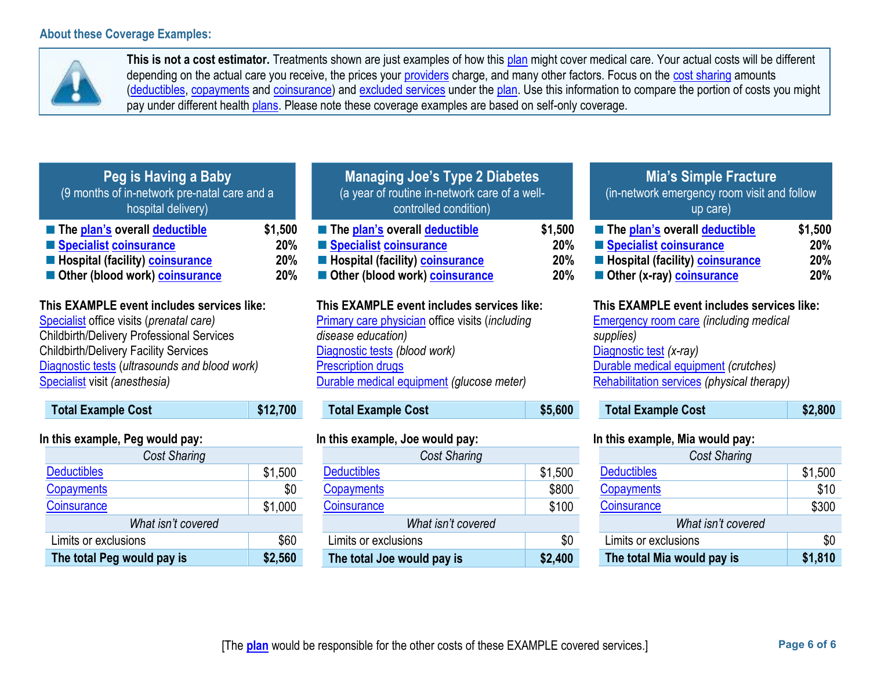**The total Peg would pay is \$2,560**



This is not a cost estimator. Treatments shown are just examples of how this plan might cover medical care. Your actual costs will be different depending on the actual care you receive, the prices your providers charge, and many other factors. Focus on the cost sharing amounts (deductibles, copayments and coinsurance) and excluded services under the plan. Use this information to compare the portion of costs you might pay under different health plans. Please note these coverage examples are based on self-only coverage.

| Peg is Having a Baby<br>(9 months of in-network pre-natal care and a<br>hospital delivery)                                                                                                                                                                                   |                              | <b>Managing Joe's Type 2 Diabetes</b><br>(a year of routine in-network care of a well-<br>controlled condition)                                                                                                                       |                              | <b>Mia's Simple Fracture</b><br>(in-network emergency room visit and follow<br>up care)                                                                                                                                   |                              |
|------------------------------------------------------------------------------------------------------------------------------------------------------------------------------------------------------------------------------------------------------------------------------|------------------------------|---------------------------------------------------------------------------------------------------------------------------------------------------------------------------------------------------------------------------------------|------------------------------|---------------------------------------------------------------------------------------------------------------------------------------------------------------------------------------------------------------------------|------------------------------|
| The plan's overall deductible<br>Specialist coinsurance<br>Hospital (facility) coinsurance<br>Other (blood work) coinsurance                                                                                                                                                 | \$1,500<br>20%<br>20%<br>20% | The plan's overall deductible<br>Specialist coinsurance<br>Hospital (facility) coinsurance<br>Other (blood work) coinsurance                                                                                                          | \$1,500<br>20%<br>20%<br>20% | The plan's overall deductible<br>Specialist coinsurance<br>Hospital (facility) coinsurance<br>Other (x-ray) coinsurance                                                                                                   | \$1,500<br>20%<br>20%<br>20% |
| This EXAMPLE event includes services like:<br>Specialist office visits (prenatal care)<br><b>Childbirth/Delivery Professional Services</b><br><b>Childbirth/Delivery Facility Services</b><br>Diagnostic tests (ultrasounds and blood work)<br>Specialist visit (anesthesia) |                              | This EXAMPLE event includes services like:<br><b>Primary care physician office visits (including</b><br>disease education)<br>Diagnostic tests (blood work)<br><b>Prescription drugs</b><br>Durable medical equipment (glucose meter) |                              | This EXAMPLE event includes services like:<br><b>Emergency room care (including medical</b><br>supplies)<br>Diagnostic test (x-ray)<br>Durable medical equipment (crutches)<br>Rehabilitation services (physical therapy) |                              |
| <b>Total Example Cost</b>                                                                                                                                                                                                                                                    | \$12,700                     | <b>Total Example Cost</b>                                                                                                                                                                                                             | \$5,600                      | <b>Total Example Cost</b>                                                                                                                                                                                                 | \$2,800                      |
| In this example, Peg would pay:                                                                                                                                                                                                                                              |                              | In this example, Joe would pay:                                                                                                                                                                                                       |                              | In this example, Mia would pay:                                                                                                                                                                                           |                              |
| Cost Sharing                                                                                                                                                                                                                                                                 |                              | Cost Sharing                                                                                                                                                                                                                          |                              | Cost Sharing                                                                                                                                                                                                              |                              |
| <b>Deductibles</b>                                                                                                                                                                                                                                                           | \$1,500                      | <b>Deductibles</b>                                                                                                                                                                                                                    | \$1,500                      | <b>Deductibles</b>                                                                                                                                                                                                        | \$1,500                      |
| <b>Copayments</b>                                                                                                                                                                                                                                                            | \$0                          | <b>Copayments</b>                                                                                                                                                                                                                     | \$800                        | Copayments                                                                                                                                                                                                                | \$10                         |
| Coinsurance                                                                                                                                                                                                                                                                  | \$1,000                      | Coinsurance                                                                                                                                                                                                                           | \$100                        | Coinsurance                                                                                                                                                                                                               | \$300                        |
| What isn't covered                                                                                                                                                                                                                                                           |                              | What isn't covered                                                                                                                                                                                                                    |                              | What isn't covered                                                                                                                                                                                                        |                              |
| Limits or exclusions                                                                                                                                                                                                                                                         | \$60                         | Limits or exclusions                                                                                                                                                                                                                  | \$0                          | Limits or exclusions                                                                                                                                                                                                      | \$0                          |

**The total Joe would pay is \$2,400**

**The total Mia would pay is \$1,810**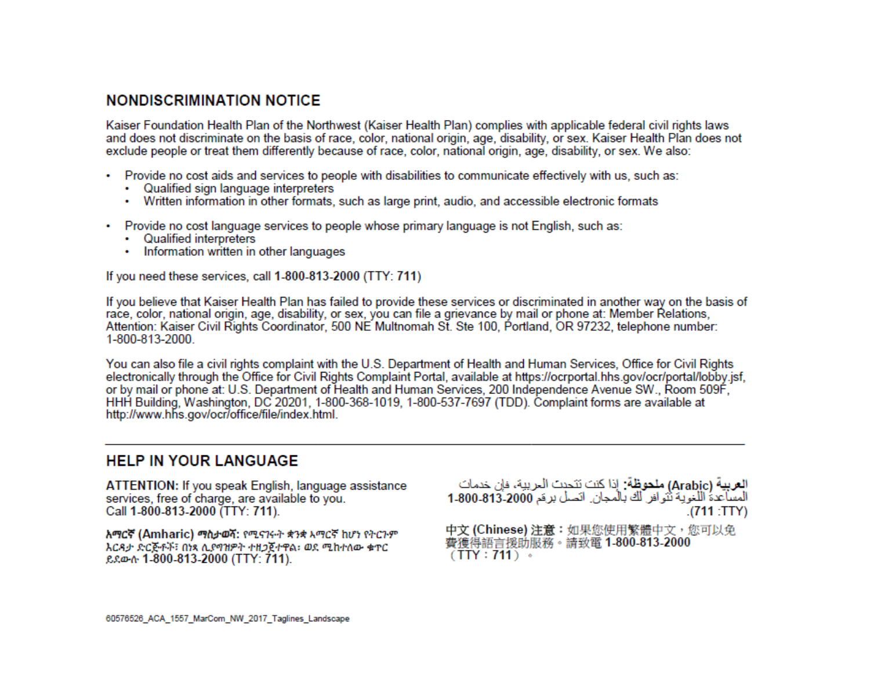# **NONDISCRIMINATION NOTICE**

Kaiser Foundation Health Plan of the Northwest (Kaiser Health Plan) complies with applicable federal civil rights laws and does not discriminate on the basis of race, color, national origin, age, disability, or sex. Kaiser Health Plan does not exclude people or treat them differently because of race, color, national origin, age, disability, or sex. We also:

- Provide no cost aids and services to people with disabilities to communicate effectively with us, such as:
	- Qualified sign language interpreters
	- Written information in other formats, such as large print, audio, and accessible electronic formats
- Provide no cost language services to people whose primary language is not English, such as:
	- Qualified interpreters
	- Information written in other languages

If you need these services, call 1-800-813-2000 (TTY: 711)

If you believe that Kaiser Health Plan has failed to provide these services or discriminated in another way on the basis of race, color, national origin, age, disability, or sex, you can file a grievance by mail or phone at: Member Relations, Attention: Kaiser Civil Rights Coordinator, 500 NE Multnomah St. Ste 100, Portland, OR 97232, telephone number: 1-800-813-2000.

You can also file a civil rights complaint with the U.S. Department of Health and Human Services, Office for Civil Rights electronically through the Office for Civil Rights Complaint Portal, available at https://ocrportal.hhs.gov/ocr/portal/lobby.jsf, or by mail or phone at: U.S. Department of Health and Human Services, 200 Independence Avenue SW., Room 509F, HHH Building, Washington, DC 20201, 1-800-368-1019, 1-800-537-7697 (TDD). Complaint forms are available at http://www.hhs.gov/ocr/office/file/index.html.

## **HELP IN YOUR LANGUAGE**

ATTENTION: If you speak English, language assistance services, free of charge, are available to you. Call 1-800-813-2000 (TTY: 711).

አማርኛ (Amharic) ማስታወሻ: የሚናገሩት ቋንቋ አማርኛ ከሆነ የትርጉም እርዳታ ድርጅቶች፣ በነጻ ሲያማዝዎት ተዘጋጀተዋል፡ ወደ ሚከተለው ቁጥር ይደውሱ 1-800-813-2000 (TTY: 711).

العربية (Arabic) ملحوظة: إذا كنت تتحدث البريبة، فإن خدمات المساعدة اللغوية تُنوافر لك بالمجان. انصل برهَم 2000-813-1-800 (711: TTY).

中文 (Chinese) 注意:如果您使用繁體中文,您可以免 費獲得語言援助服務。請致電 1-800-813-2000  $(TTY: 711)$